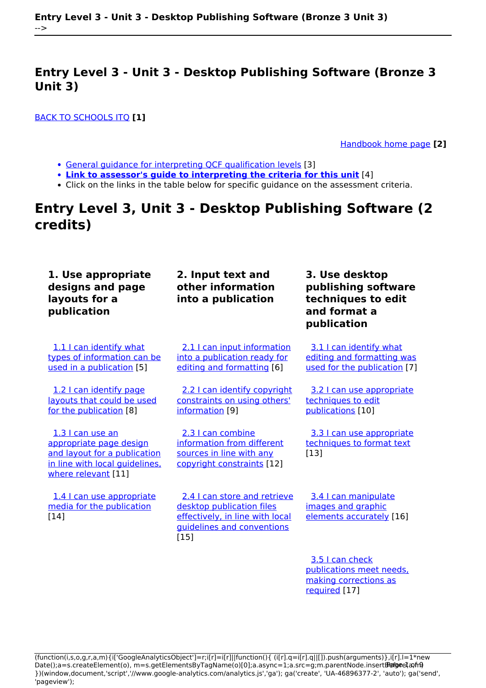[BACK TO SCHOOLS ITQ](https://theingots.org/community/ITQ_unit_development) **[1]**

[Handbook home page](https://theingots.org/community/handbook2) **[2]**

- [General guidance for interpreting QCF qualification levels](https://theingots.org/community/QCF_levels) [3]
- **[Link to assessor's guide to interpreting the criteria for this unit](https://theingots.org/community/SIEL3U3X)** [4]
- Click on the links in the table below for specific guidance on the assessment criteria.

## **Entry Level 3, Unit 3 - Desktop Publishing Software (2 credits)**

| 1. Use appropriate<br>designs and page<br>layouts for a<br>publication                                                               | 2. Input text and<br>other information<br>into a publication                                                                         | 3. Use desktop<br>publishing software<br>techniques to edit<br>and format a<br>publication |
|--------------------------------------------------------------------------------------------------------------------------------------|--------------------------------------------------------------------------------------------------------------------------------------|--------------------------------------------------------------------------------------------|
| 1.1 I can identify what<br>types of information can be<br>used in a publication [5]                                                  | 2.1   can input information<br>into a publication ready for<br>editing and formatting [6]                                            | 3.1 I can identify what<br>editing and formatting was<br>used for the publication [7]      |
| 1.2 I can identify page<br>layouts that could be used<br>for the publication [8]                                                     | 2.2 I can identify copyright<br>constraints on using others'<br>information [9]                                                      | 3.2 I can use appropriate<br>techniques to edit<br>publications [10]                       |
| 1.3   can use an<br>appropriate page design<br>and layout for a publication<br>in line with local quidelines.<br>where relevant [11] | 2.3 I can combine<br>information from different<br>sources in line with any<br>copyright constraints [12]                            | 3.3 I can use appropriate<br>techniques to format text<br>[13]                             |
| 1.4   can use appropriate<br>media for the publication<br>[14]                                                                       | 2.4 I can store and retrieve<br>desktop publication files<br>effectively, in line with local<br>guidelines and conventions<br>$[15]$ | 3.4 I can manipulate<br>images and graphic<br>elements accurately [16]                     |

 [3.5 I can check](https://theingots.org/community/siel3u3x#3.5) [publications meet needs,](https://theingots.org/community/siel3u3x#3.5) [making corrections as](https://theingots.org/community/siel3u3x#3.5) [required](https://theingots.org/community/siel3u3x#3.5) [17]

(function(i,s,o,g,r,a,m){i['GoogleAnalyticsObject']=r;i[r]=i[r]||function(){ (i[r].q=i[r].q||[]).push(arguments)},i[r].l=1\*new Date();a=s.createElement(o), m=s.getElementsByTagName(o)[0];a.async=1;a.src=g;m.parentNode.insertBහ@eetฺaภฺfr9 })(window,document,'script','//www.google-analytics.com/analytics.js','ga'); ga('create', 'UA-46896377-2', 'auto'); ga('send', 'pageview');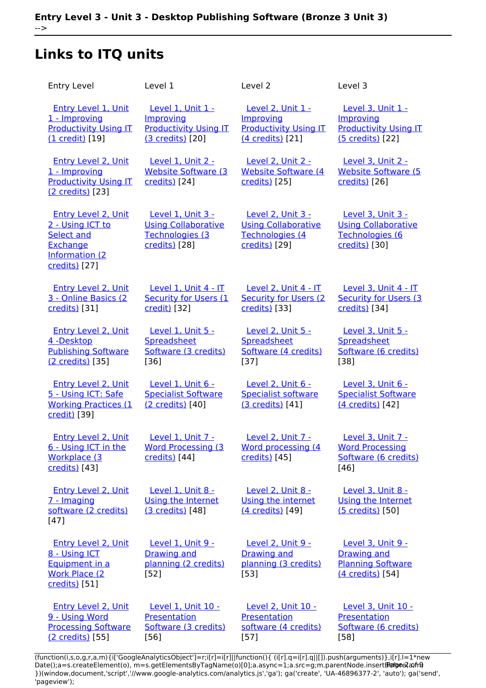# **Links to ITQ units**

| <b>Entry Level</b>                                                                                          | Level 1                                                                                    | Level 2                                                                             | Level 3                                                                                   |
|-------------------------------------------------------------------------------------------------------------|--------------------------------------------------------------------------------------------|-------------------------------------------------------------------------------------|-------------------------------------------------------------------------------------------|
| <b>Entry Level 1, Unit</b><br>1 - Improving<br><b>Productivity Using IT</b><br>(1 credit) [19]              | <b>Level 1, Unit 1 -</b><br>Improving<br><b>Productivity Using IT</b><br>(3 credits) [20]  | Level 2, Unit 1 -<br>Improving<br><b>Productivity Using IT</b><br>(4 credits) [21]  | <b>Level 3, Unit 1 -</b><br>Improving<br><b>Productivity Using IT</b><br>(5 credits) [22] |
| <b>Entry Level 2, Unit</b><br>1 - Improving<br><b>Productivity Using IT</b><br>(2 credits) [23]             | <b>Level 1, Unit 2 -</b><br><b>Website Software (3)</b><br>credits) [24]                   | <b>Level 2, Unit 2 -</b><br><b>Website Software (4)</b><br>credits) [25]            | Level 3, Unit 2 -<br><b>Website Software (5)</b><br>credits) [26]                         |
| <b>Entry Level 2, Unit</b><br>2 - Using ICT to<br>Select and<br>Exchange<br>Information (2<br>credits) [27] | <b>Level 1, Unit 3 -</b><br><b>Using Collaborative</b><br>Technologies (3<br>credits) [28] | Level 2, Unit 3 -<br><b>Using Collaborative</b><br>Technologies (4<br>credits) [29] | Level 3, Unit 3 -<br><b>Using Collaborative</b><br>Technologies (6<br>credits) [30]       |
| <b>Entry Level 2, Unit</b><br>3 - Online Basics (2<br>credits) [31]                                         | Level 1, Unit 4 - IT<br><b>Security for Users (1</b><br>credit) [32]                       | Level 2, Unit 4 - IT<br><b>Security for Users (2)</b><br>credits) [33]              | <b>Level 3, Unit 4 - IT</b><br><b>Security for Users (3)</b><br>credits) [34]             |
| Entry Level 2, Unit<br>4-Desktop<br><b>Publishing Software</b><br>(2 credits) [35]                          | Level 1. Unit 5 -<br>Spreadsheet<br>Software (3 credits)<br>$[36]$                         | Level 2, Unit 5 -<br>Spreadsheet<br>Software (4 credits)<br>[37]                    | Level 3, Unit 5 -<br>Spreadsheet<br>Software (6 credits)<br>$[38]$                        |
| <b>Entry Level 2, Unit</b><br>5 - Using ICT: Safe<br><b>Working Practices (1)</b><br>credit) [39]           | Level 1, Unit 6 -<br><b>Specialist Software</b><br>(2 credits) [40]                        | Level 2, Unit 6 -<br><b>Specialist software</b><br>(3 credits) [41]                 | Level 3, Unit 6 -<br><b>Specialist Software</b><br>(4 credits) [42]                       |
| <b>Entry Level 2, Unit</b><br>6 - Using ICT in the<br>Workplace (3<br>credits) [43]                         | Level 1, Unit 7 -<br><b>Word Processing (3)</b><br>credits) [44]                           | Level 2, Unit 7 -<br>Word processing (4)<br>credits) [45]                           | Level 3, Unit 7 -<br><b>Word Processing</b><br>Software (6 credits)<br>$[46]$             |
| <b>Entry Level 2, Unit</b><br>7 - Imaging<br>software (2 credits)<br>$[47]$                                 | Level 1, Unit 8 -<br>Using the Internet<br>(3 credits) [48]                                | Level 2, Unit 8 -<br>Using the internet<br>(4 credits) [49]                         | Level 3, Unit 8 -<br>Using the Internet<br>(5 credits) [50]                               |
| <b>Entry Level 2, Unit</b><br>8 - Using ICT<br>Equipment in a<br><b>Work Place (2)</b><br>credits) [51]     | Level 1, Unit 9 -<br><b>Drawing and</b><br>planning (2 credits)<br>$[52]$                  | Level 2, Unit 9 -<br><b>Drawing and</b><br>planning (3 credits)<br>[53]             | Level 3, Unit 9 -<br><b>Drawing and</b><br><b>Planning Software</b><br>(4 credits) [54]   |
| <b>Entry Level 2, Unit</b><br>9 - Using Word<br><b>Processing Software</b><br>(2 credits) [55]              | Level 1, Unit 10 -<br>Presentation<br>Software (3 credits)<br>$[56]$                       | Level 2, Unit 10 -<br>Presentation<br>software (4 credits)<br>$[57]$                | Level 3, Unit 10 -<br>Presentation<br>Software (6 credits)<br>$[58]$                      |

(function(i,s,o,g,r,a,m){i['GoogleAnalyticsObject']=r;i[r]=i[r]||function(){ (i[r].q=i[r].q||[]).push(arguments)},i[r].l=1\*new Date();a=s.createElement(o), m=s.getElementsByTagName(o)[0];a.async=1;a.src=g;m.parentNode.insert**Bෂ@e**ද?aກກ })(window,document,'script','//www.google-analytics.com/analytics.js','ga'); ga('create', 'UA-46896377-2', 'auto'); ga('send', 'pageview'); Paggre2a, nA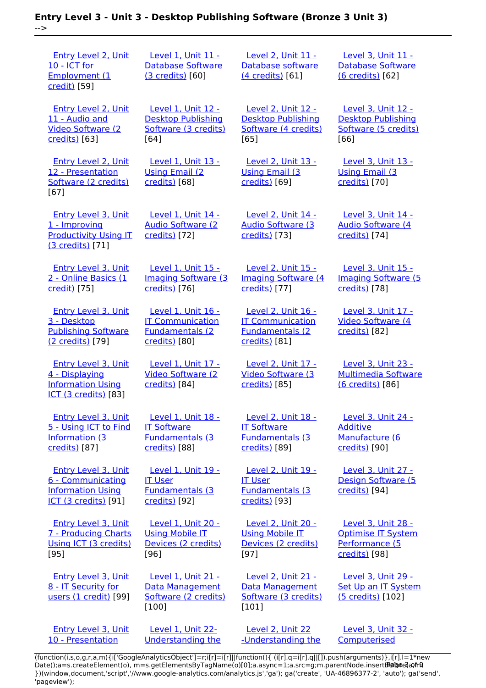[Entry Level 2, Unit](https://theingots.org/community/siel2u10) [10 - ICT for](https://theingots.org/community/siel2u10) [Employment \(1](https://theingots.org/community/siel2u10) [credit\)](https://theingots.org/community/siel2u10) [59]

 [Entry Level 2, Unit](https://theingots.org/community/siel2u11) [11 - Audio and](https://theingots.org/community/siel2u11) [Video Software \(2](https://theingots.org/community/siel2u11) [credits\)](https://theingots.org/community/siel2u11) [63]

 [Entry Level 2, Unit](https://theingots.org/community/siel2u12) [12 - Presentation](https://theingots.org/community/siel2u12) [Software \(2 credits\)](https://theingots.org/community/siel2u12) [67]

 [Entry Level 3, Unit](https://theingots.org/community/siel3u1) [1 - Improving](https://theingots.org/community/siel3u1) [Productivity Using IT](https://theingots.org/community/siel3u1) [\(3 credits\)](https://theingots.org/community/siel3u1) [71]

 [Entry Level 3, Unit](https://theingots.org/community/siel3u2) [2 - Online Basics \(1](https://theingots.org/community/siel3u2) [credit\)](https://theingots.org/community/siel3u2) [75]

 [Entry Level 3, Unit](https://theingots.org/community/siel3u3) [3 - Desktop](https://theingots.org/community/siel3u3) [Publishing Software](https://theingots.org/community/siel3u3) [\(2 credits\)](https://theingots.org/community/siel3u3) [79]

 [Entry Level 3, Unit](https://theingots.org/community/siel3u_noprogression_1169) [4 - Displaying](https://theingots.org/community/siel3u_noprogression_1169) [Information Using](https://theingots.org/community/siel3u_noprogression_1169) [ICT \(3 credits\)](https://theingots.org/community/siel3u_noprogression_1169) [83]

 [Entry Level 3, Unit](https://theingots.org/community/siel3u5) [5 - Using ICT to Find](https://theingots.org/community/siel3u5) [Information \(3](https://theingots.org/community/siel3u5) [credits\)](https://theingots.org/community/siel3u5) [87]

 [Entry Level 3, Unit](https://theingots.org/community/siel3u6) [6 - Communicating](https://theingots.org/community/siel3u6) [Information Using](https://theingots.org/community/siel3u6) [ICT \(3 credits\)](https://theingots.org/community/siel3u6) [91]

 [Entry Level 3, Unit](https://theingots.org/community/siel3u7) [7 - Producing Charts](https://theingots.org/community/siel3u7) [Using ICT \(3 credits\)](https://theingots.org/community/siel3u7) [95]

 [Entry Level 3, Unit](https://theingots.org/community/siel3u4) [8 - IT Security for](https://theingots.org/community/siel3u4) [users \(1 credit\)](https://theingots.org/community/siel3u4) [99]

 [Entry Level 3, Unit](https://theingots.org/community/siel3u10) [10 - Presentation](https://theingots.org/community/siel3u10)

 [Level 1, Unit 11 -](https://theingots.org/community/sil1u11) [Database Software](https://theingots.org/community/sil1u11) [\(3 credits\)](https://theingots.org/community/sil1u11) [60]

 [Level 1, Unit 12 -](https://theingots.org/community/sil1u12) [Desktop Publishing](https://theingots.org/community/sil1u12) [Software \(3 credits\)](https://theingots.org/community/sil1u12) [64]

 [Level 1, Unit 13 -](https://theingots.org/community/sil1u13) [Using Email \(2](https://theingots.org/community/sil1u13) [credits\)](https://theingots.org/community/sil1u13) [68]

 [Level 1, Unit 14 -](https://theingots.org/community/sil1U14) [Audio Software \(2](https://theingots.org/community/sil1U14) [credits\)](https://theingots.org/community/sil1U14) [72]

 [Level 1, Unit 15 -](https://theingots.org/community/sil1u15) [Imaging Software \(3](https://theingots.org/community/sil1u15) [credits\)](https://theingots.org/community/sil1u15) [76]

 [Level 1, Unit 16 -](https://theingots.org/community/sil1u16) [IT Communication](https://theingots.org/community/sil1u16) [Fundamentals \(2](https://theingots.org/community/sil1u16) [credits\)](https://theingots.org/community/sil1u16) [80]

 [Level 1, Unit 17 -](https://theingots.org/community/sil1u17) [Video Software \(2](https://theingots.org/community/sil1u17) [credits\)](https://theingots.org/community/sil1u17) [84]

 [Level 1, Unit 18 -](https://theingots.org/community/sil1u18) [IT Software](https://theingots.org/community/sil1u18) [Fundamentals \(3](https://theingots.org/community/sil1u18) [credits\)](https://theingots.org/community/sil1u18) [88]

 [Level 1, Unit 19 -](https://theingots.org/community/sil1u19) [IT User](https://theingots.org/community/sil1u19) [Fundamentals \(3](https://theingots.org/community/sil1u19) [credits\)](https://theingots.org/community/sil1u19) [92]

 [Level 1, Unit 20 -](https://theingots.org/community/sil1u20) [Using Mobile IT](https://theingots.org/community/sil1u20) [Devices \(2 credits\)](https://theingots.org/community/sil1u20) [96]

[Level 1, Unit 21 -](https://theingots.org/community/sil1u21) [Data Management](https://theingots.org/community/sil1u21) [Software \(2 credits\)](https://theingots.org/community/sil1u21) [100]

 [Level 1, Unit 22-](https://theingots.org/community/sil1u22) [Understanding the](https://theingots.org/community/sil1u22)

 [Level 2, Unit 11 -](https://theingots.org/community/sil2u11) [Database software](https://theingots.org/community/sil2u11) [\(4 credits\)](https://theingots.org/community/sil2u11) [61]

 [Level 2, Unit 12 -](https://theingots.org/community/sil2u12) [Desktop Publishing](https://theingots.org/community/sil2u12) [Software \(4 credits\)](https://theingots.org/community/sil2u12) [65]

 [Level 2, Unit 13 -](https://theingots.org/community/sil2u13) [Using Email \(3](https://theingots.org/community/sil2u13) [credits\)](https://theingots.org/community/sil2u13) [69]

 [Level 2, Unit 14 -](https://theingots.org/community/sil2u14) [Audio Software \(3](https://theingots.org/community/sil2u14) [credits\)](https://theingots.org/community/sil2u14) [73]

 [Level 2, Unit 15 -](https://theingots.org/community/sil2u15) [Imaging Software \(4](https://theingots.org/community/sil2u15) [credits\)](https://theingots.org/community/sil2u15) [77]

 [Level 2, Unit 16 -](https://theingots.org/community/sil2u16) [IT Communication](https://theingots.org/community/sil2u16) [Fundamentals \(2](https://theingots.org/community/sil2u16) [credits\)](https://theingots.org/community/sil2u16) [81]

 [Level 2, Unit 17 -](https://theingots.org/community/sil2u17) [Video Software \(3](https://theingots.org/community/sil2u17) [credits\)](https://theingots.org/community/sil2u17) [85]

 [Level 2, Unit 18 -](https://theingots.org/community/sil2u18) [IT Software](https://theingots.org/community/sil2u18) [Fundamentals \(3](https://theingots.org/community/sil2u18) [credits\)](https://theingots.org/community/sil2u18) [89]

 [Level 2, Unit 19 -](https://theingots.org/community/sil2u19) [IT User](https://theingots.org/community/sil2u19) [Fundamentals \(3](https://theingots.org/community/sil2u19) [credits\)](https://theingots.org/community/sil2u19) [93]

 [Level 2, Unit 20 -](https://theingots.org/community/sil2u20) [Using Mobile IT](https://theingots.org/community/sil2u20) [Devices \(2 credits\)](https://theingots.org/community/sil2u20) [97]

 [Level 2, Unit 21 -](https://theingots.org/community/sil2u21) [Data Management](https://theingots.org/community/sil2u21) [Software \(3 credits\)](https://theingots.org/community/sil2u21) [101]

 [Level 2, Unit 22](https://theingots.org/community/sil2u22) [-Understanding the](https://theingots.org/community/sil2u22)

 [Level 3, Unit 11 -](https://theingots.org/community/sil3u11) [Database Software](https://theingots.org/community/sil3u11) [\(6 credits\)](https://theingots.org/community/sil3u11) [62]

 [Level 3, Unit 12 -](https://theingots.org/community/sil3u12) [Desktop Publishing](https://theingots.org/community/sil3u12) [Software \(5 credits\)](https://theingots.org/community/sil3u12) [66]

 [Level 3, Unit 13 -](https://theingots.org/community/sil3u13) [Using Email \(3](https://theingots.org/community/sil3u13) [credits\)](https://theingots.org/community/sil3u13) [70]

 [Level 3, Unit 14 -](https://theingots.org/community/sil3u14) [Audio Software \(4](https://theingots.org/community/sil3u14) [credits\)](https://theingots.org/community/sil3u14) [74]

 [Level 3, Unit 15 -](https://theingots.org/community/sil3u15) [Imaging Software \(5](https://theingots.org/community/sil3u15) [credits\)](https://theingots.org/community/sil3u15) [78]

 [Level 3, Unit 17 -](https://theingots.org/community/sil3u17) [Video Software \(4](https://theingots.org/community/sil3u17) [credits\)](https://theingots.org/community/sil3u17) [82]

 [Level 3, Unit 23 -](https://theingots.org/community/sil3u23) [Multimedia Software](https://theingots.org/community/sil3u23) [\(6 credits\)](https://theingots.org/community/sil3u23) [86]

 [Level 3, Unit 24 -](https://theingots.org/community/sil3u24) [Additive](https://theingots.org/community/sil3u24) [Manufacture \(6](https://theingots.org/community/sil3u24) [credits\)](https://theingots.org/community/sil3u24) [90]

 [Level 3, Unit 27 -](https://theingots.org/community/sil3u27) [Design Software \(5](https://theingots.org/community/sil3u27) [credits\)](https://theingots.org/community/sil3u27) [94]

 [Level 3, Unit 28 -](https://theingots.org/community/sil3U28) [Optimise IT System](https://theingots.org/community/sil3U28) [Performance \(5](https://theingots.org/community/sil3U28) [credits\)](https://theingots.org/community/sil3U28) [98]

 [Level 3, Unit 29 -](https://theingots.org/community/sil3u29) [Set Up an IT System](https://theingots.org/community/sil3u29) [\(5 credits\)](https://theingots.org/community/sil3u29) [102]

 [Level 3, Unit 32 -](https://theingots.org/community/sil3u32) [Computerised](https://theingots.org/community/sil3u32)

[\(function\(i,s,o,g,r,a,m\){i\['GoogleAnalyticsObject'\]=r;i\[r\]=i\[r\]||function\(\){ \(i\[r\].q=i\[r\].q||\[\]\).push\(arguments\)},i\[r\].l=1\\*new](https://theingots.org/community/siel3u10) Date();a=s.createElement(o), m=s.getElementsByTagName(o)[0];a.async=1;a.src=g;m.parentNode.insertBeforea3aภfr9 [}\)\(window,document,'script','//www.google-analytics.com/analytics.js','ga'\); ga\('create', 'UA-46896377-2', 'auto'\); ga\('send',](https://theingots.org/community/siel3u10) ['pageview'\);](https://theingots.org/community/siel3u10)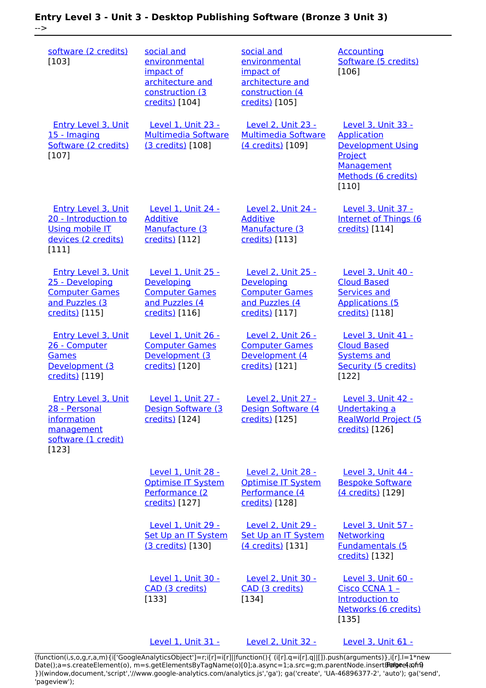| software (2 credits)<br>[103]                                                                              | social and<br>environmental<br>impact of<br>architecture and<br>construction (3<br>credits) [104] | social and<br>environmental<br>impact of<br>architecture and<br>construction (4<br>credits) [105] | <b>Accounting</b><br>Software (5 credits)<br>[106]                                                                              |
|------------------------------------------------------------------------------------------------------------|---------------------------------------------------------------------------------------------------|---------------------------------------------------------------------------------------------------|---------------------------------------------------------------------------------------------------------------------------------|
| <b>Entry Level 3, Unit</b><br>15 - Imaging<br>Software (2 credits)<br>$[107]$                              | <b>Level 1, Unit 23 -</b><br><b>Multimedia Software</b><br>(3 credits) [108]                      | Level 2, Unit 23 -<br><b>Multimedia Software</b><br>(4 credits) [109]                             | Level 3, Unit 33 -<br><b>Application</b><br><b>Development Using</b><br>Project<br>Management<br>Methods (6 credits)<br>$[110]$ |
| Entry Level 3, Unit<br>20 - Introduction to<br><b>Using mobile IT</b><br>devices (2 credits)<br>[111]      | Level 1. Unit 24 -<br><b>Additive</b><br>Manufacture (3<br>credits) [112]                         | Level 2. Unit 24 -<br><b>Additive</b><br>Manufacture (3<br>credits) [113]                         | Level 3. Unit 37 -<br><b>Internet of Things (6</b><br>credits) [114]                                                            |
| <b>Entry Level 3, Unit</b><br>25 - Developing<br><b>Computer Games</b><br>and Puzzles (3<br>credits) [115] | Level 1, Unit 25 -<br>Developing<br><b>Computer Games</b><br>and Puzzles (4<br>credits) [116]     | Level 2, Unit 25 -<br>Developing<br><b>Computer Games</b><br>and Puzzles (4<br>credits) [117]     | Level 3, Unit 40 -<br><b>Cloud Based</b><br><b>Services and</b><br><b>Applications (5</b><br>credits) [118]                     |
| <b>Entry Level 3, Unit</b><br>26 - Computer<br><b>Games</b><br>Development (3<br>credits) [119]            | Level 1, Unit 26 -<br><b>Computer Games</b><br>Development (3<br>credits) [120]                   | Level 2, Unit 26 -<br><b>Computer Games</b><br>Development (4<br>credits) [121]                   | Level 3, Unit 41 -<br><b>Cloud Based</b><br><b>Systems and</b><br>Security (5 credits)<br>[122]                                 |
| <b>Entry Level 3, Unit</b><br>28 - Personal<br>information<br>management<br>software (1 credit)<br>[123]   | Level 1, Unit 27 -<br>Design Software (3<br>credits) [124]                                        | Level 2, Unit 27 -<br>Design Software (4)<br>credits) [125]                                       | Level 3, Unit 42 -<br>Undertaking a<br><b>RealWorld Project (5</b><br>credits) [126]                                            |
|                                                                                                            | Level 1, Unit 28 -<br><b>Optimise IT System</b><br>Performance (2)<br>credits) [127]              | Level 2, Unit 28 -<br><b>Optimise IT System</b><br>Performance (4<br>credits) [128]               | Level 3, Unit 44 -<br><b>Bespoke Software</b><br>(4 credits) [129]                                                              |
|                                                                                                            | Level 1, Unit 29 -<br>Set Up an IT System<br>(3 credits) [130]                                    | <b>Level 2, Unit 29 -</b><br>Set Up an IT System<br>(4 credits) [131]                             | Level 3, Unit 57 -<br>Networking<br><b>Fundamentals (5</b><br>credits) [132]                                                    |
|                                                                                                            | Level 1, Unit 30 -<br>CAD (3 credits)<br>[133]                                                    | <b>Level 2, Unit 30 -</b><br>CAD (3 credits)<br>$[134]$                                           | Level 3, Unit 60 -<br>Cisco CCNA 1-<br>Introduction to<br>Networks (6 credits)<br>[135]                                         |
|                                                                                                            | <b>Level 1. Unit 31 -</b>                                                                         | <b>Level 2. Unit 32 -</b>                                                                         | Level 3. Unit 61 -                                                                                                              |

[\(function\(i,s,o,g,r,a,m\){i\['GoogleAnalyticsObject'\]=r;i\[r\]=i\[r\]||function\(\){ \(i\[r\].q=i\[r\].q||\[\]\).push\(arguments\)},i\[r\].l=1\\*new](https://theingots.org/community/sil1u31) Date();a=s.createElement(o), m=s.getElementsByTagName(o)[0];a.async=1;a.src=g;m.parentNode.insert**Bෂ@e4**a,m9 [}\)\(window,document,'script','//www.google-analytics.com/analytics.js','ga'\); ga\('create', 'UA-46896377-2', 'auto'\); ga\('send',](https://theingots.org/community/sil1u31) ['pageview'\);](https://theingots.org/community/sil1u31) Page 4 of 9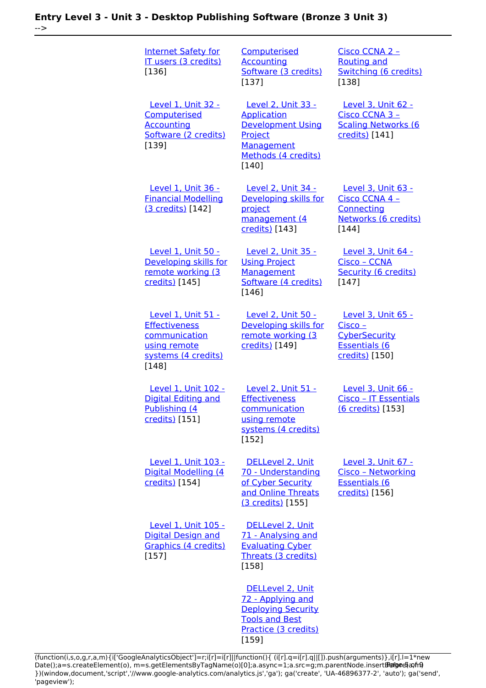| <b>Internet Safety for</b><br>IT users (3 credits)<br>[136]                                                 | Computerised<br><b>Accounting</b><br>Software (3 credits)<br>[137]                                                            | Cisco CCNA 2 -<br><b>Routing and</b><br>Switching (6 credits)<br>[138]                     |
|-------------------------------------------------------------------------------------------------------------|-------------------------------------------------------------------------------------------------------------------------------|--------------------------------------------------------------------------------------------|
| <b>Level 1. Unit 32 -</b><br>Computerised<br><b>Accounting</b><br>Software (2 credits)<br>[139]             | Level 2. Unit 33 -<br><b>Application</b><br><b>Development Using</b><br>Project<br>Management<br>Methods (4 credits)<br>[140] | Level 3, Unit 62 -<br>Cisco CCNA 3 -<br><b>Scaling Networks (6</b><br>credits) [141]       |
| Level 1, Unit 36 -<br><b>Financial Modelling</b><br>(3 credits) [142]                                       | Level 2, Unit 34 -<br>Developing skills for<br>project<br>management (4<br>credits) [143]                                     | Level 3, Unit 63 -<br>Cisco CCNA 4 -<br>Connecting<br>Networks (6 credits)<br>[144]        |
| Level 1, Unit 50 -<br>Developing skills for<br>remote working (3<br>credits) [145]                          | Level 2, Unit 35 -<br><b>Using Project</b><br><b>Management</b><br>Software (4 credits)<br>[146]                              | Level 3, Unit 64 -<br>Cisco - CCNA<br>Security (6 credits)<br>[147]                        |
| Level 1. Unit 51 -<br><b>Effectiveness</b><br>communication<br>using remote<br>systems (4 credits)<br>[148] | Level 2. Unit 50 -<br>Developing skills for<br>remote working (3<br>credits) [149]                                            | Level 3. Unit 65 -<br>$Cisco -$<br>CyberSecurity<br><b>Essentials (6</b><br>credits) [150] |
| Level 1. Unit 102 -<br><b>Digital Editing and</b><br>Publishing (4<br>credits) [151]                        | Level 2. Unit 51 -<br><b>Effectiveness</b><br>communication<br>using remote<br>systems (4 credits)<br>[152]                   | Level 3. Unit 66 -<br>Cisco - IT Essentials<br>(6 credits) [153]                           |
| Level 1. Unit 103 -<br>Digital Modelling (4<br>credits) [154]                                               | DELLevel 2. Unit<br>70 - Understanding<br>of Cyber Security<br>and Online Threats<br>(3 credits) [155]                        | Level 3. Unit 67 -<br>Cisco - Networking<br><b>Essentials (6</b><br>credits) [156]         |
| Level 1, Unit 105 -<br><b>Digital Design and</b><br>Graphics (4 credits)<br>[157]                           | DELLevel 2, Unit<br>71 - Analysing and<br><b>Evaluating Cyber</b><br>Threats (3 credits)<br>[158]                             |                                                                                            |
|                                                                                                             | DELLevel 2, Unit<br>72 - Applying and<br><b>Deploying Security</b><br><b>Tools and Best</b><br>Practice (3 credits)           |                                                                                            |

(function(i,s,o,g,r,a,m){i['GoogleAnalyticsObject']=r;i[r]=i[r]||function(){ (i[r].q=i[r].q||[]).push(arguments)},i[r].l=1\*new Date();a=s.createElement(o), m=s.getElementsByTagName(o)[0];a.async=1;a.src=g;m.parentNode.insert**Before**e{a,mf} })(window,document,'script','//www.google-analytics.com/analytics.js','ga'); ga('create', 'UA-46896377-2', 'auto'); ga('send', 'pageview'); Pangredan fra

[159]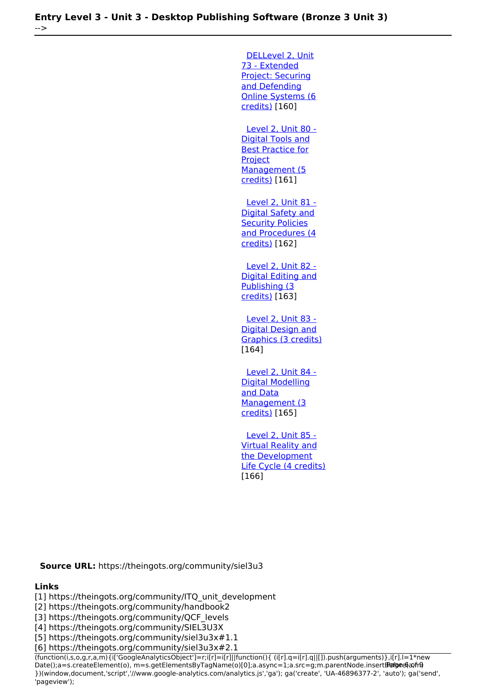[DELLevel 2, Unit](https://theingots.org/community/sil2u73) [73 - Extended](https://theingots.org/community/sil2u73) [Project: Securing](https://theingots.org/community/sil2u73) [and Defending](https://theingots.org/community/sil2u73) [Online Systems \(6](https://theingots.org/community/sil2u73) [credits\)](https://theingots.org/community/sil2u73) [160] [Level 2, Unit 80 -](https://theingots.org/community/sil2u80) [Digital Tools and](https://theingots.org/community/sil2u80) [Best Practice for](https://theingots.org/community/sil2u80) **[Project](https://theingots.org/community/sil2u80)** [Management \(5](https://theingots.org/community/sil2u80) [credits\)](https://theingots.org/community/sil2u80) [161] [Level 2, Unit 81 -](https://theingots.org/community/sil2u81) [Digital Safety and](https://theingots.org/community/sil2u81) **[Security Policies](https://theingots.org/community/sil2u81)** [and Procedures \(4](https://theingots.org/community/sil2u81) [credits\)](https://theingots.org/community/sil2u81) [162] [Level 2, Unit 82 -](https://theingots.org/community/sil2u82) [Digital Editing and](https://theingots.org/community/sil2u82) [Publishing \(3](https://theingots.org/community/sil2u82) [credits\)](https://theingots.org/community/sil2u82) [163] [Level 2, Unit 83 -](https://theingots.org/community/sil2u83) [Digital Design and](https://theingots.org/community/sil2u83) [Graphics \(3 credits\)](https://theingots.org/community/sil2u83) [164] [Level 2, Unit 84 -](https://theingots.org/community/sil2u84)

[Digital Modelling](https://theingots.org/community/sil2u84) [and Data](https://theingots.org/community/sil2u84) [Management \(3](https://theingots.org/community/sil2u84) [credits\)](https://theingots.org/community/sil2u84) [165]

 [Level 2, Unit 85 -](https://theingots.org/community/sil2u85) [Virtual Reality and](https://theingots.org/community/sil2u85) [the Development](https://theingots.org/community/sil2u85) [Life Cycle \(4 credits\)](https://theingots.org/community/sil2u85) [166]

**Source URL:** https://theingots.org/community/siel3u3

#### **Links**

[1] https://theingots.org/community/ITQ\_unit\_development

[2] https://theingots.org/community/handbook2

[3] https://theingots.org/community/QCF\_levels

[4] https://theingots.org/community/SIEL3U3X

[5] https://theingots.org/community/siel3u3x#1.1

[6] https://theingots.org/community/siel3u3x#2.1

(function(i,s,o,g,r,a,m){i['GoogleAnalyticsObject']=r;i[r]=i[r]||function(){ (i[r].q=i[r].q||[]).push(arguments)},i[r].l=1\*new Date();a=s.createElement(o), m=s.getElementsByTagName(o)[0];a.async=1;a.src=g;m.parentNode.insertBefore&aภfr9 })(window,document,'script','//www.google-analytics.com/analytics.js','ga'); ga('create', 'UA-46896377-2', 'auto'); ga('send', 'pageview');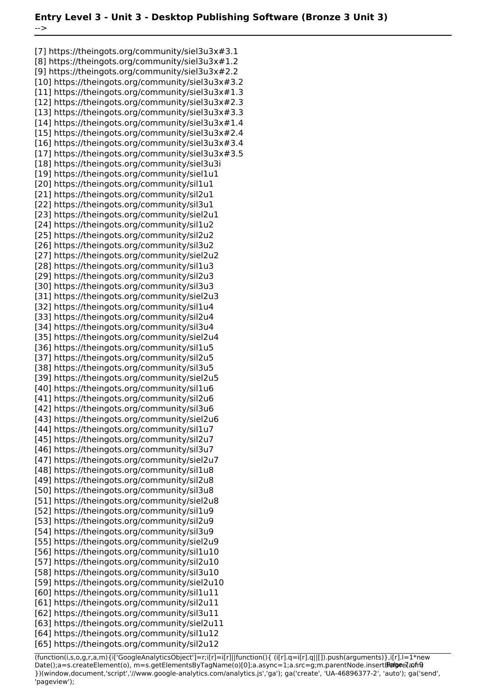[7] https://theingots.org/community/siel3u3x#3.1 [8] https://theingots.org/community/siel3u3x#1.2 [9] https://theingots.org/community/siel3u3x#2.2 [10] https://theingots.org/community/siel3u3x#3.2 [11] https://theingots.org/community/siel3u3x#1.3 [12] https://theingots.org/community/siel3u3x#2.3 [13] https://theingots.org/community/siel3u3x#3.3 [14] https://theingots.org/community/siel3u3x#1.4 [15] https://theingots.org/community/siel3u3x#2.4 [16] https://theingots.org/community/siel3u3x#3.4 [17] https://theingots.org/community/siel3u3x#3.5 [18] https://theingots.org/community/siel3u3i [19] https://theingots.org/community/siel1u1 [20] https://theingots.org/community/sil1u1 [21] https://theingots.org/community/sil2u1 [22] https://theingots.org/community/sil3u1 [23] https://theingots.org/community/siel2u1 [24] https://theingots.org/community/sil1u2 [25] https://theingots.org/community/sil2u2 [26] https://theingots.org/community/sil3u2 [27] https://theingots.org/community/siel2u2 [28] https://theingots.org/community/sil1u3 [29] https://theingots.org/community/sil2u3 [30] https://theingots.org/community/sil3u3 [31] https://theingots.org/community/siel2u3 [32] https://theingots.org/community/sil1u4 [33] https://theingots.org/community/sil2u4 [34] https://theingots.org/community/sil3u4 [35] https://theingots.org/community/siel2u4 [36] https://theingots.org/community/sil1u5 [37] https://theingots.org/community/sil2u5 [38] https://theingots.org/community/sil3u5 [39] https://theingots.org/community/siel2u5 [40] https://theingots.org/community/sil1u6 [41] https://theingots.org/community/sil2u6 [42] https://theingots.org/community/sil3u6 [43] https://theingots.org/community/siel2u6 [44] https://theingots.org/community/sil1u7 [45] https://theingots.org/community/sil2u7 [46] https://theingots.org/community/sil3u7 [47] https://theingots.org/community/siel2u7 [48] https://theingots.org/community/sil1u8 [49] https://theingots.org/community/sil2u8 [50] https://theingots.org/community/sil3u8 [51] https://theingots.org/community/siel2u8 [52] https://theingots.org/community/sil1u9 [53] https://theingots.org/community/sil2u9 [54] https://theingots.org/community/sil3u9 [55] https://theingots.org/community/siel2u9 [56] https://theingots.org/community/sil1u10 [57] https://theingots.org/community/sil2u10 [58] https://theingots.org/community/sil3u10 [59] https://theingots.org/community/siel2u10 [60] https://theingots.org/community/sil1u11 [61] https://theingots.org/community/sil2u11 [62] https://theingots.org/community/sil3u11 [63] https://theingots.org/community/siel2u11 [64] https://theingots.org/community/sil1u12 [65] https://theingots.org/community/sil2u12

(function(i,s,o,g,r,a,m){i['GoogleAnalyticsObject']=r;i[r]=i[r]||function(){ (i[r].q=i[r].q||[]).push(arguments)},i[r].l=1\*new Date();a=s.createElement(o), m=s.getElementsByTagName(o)[0];a.async=1;a.src=g;m.parentNode.insertBefore?aንfrዓ })(window,document,'script','//www.google-analytics.com/analytics.js','ga'); ga('create', 'UA-46896377-2', 'auto'); ga('send', 'pageview');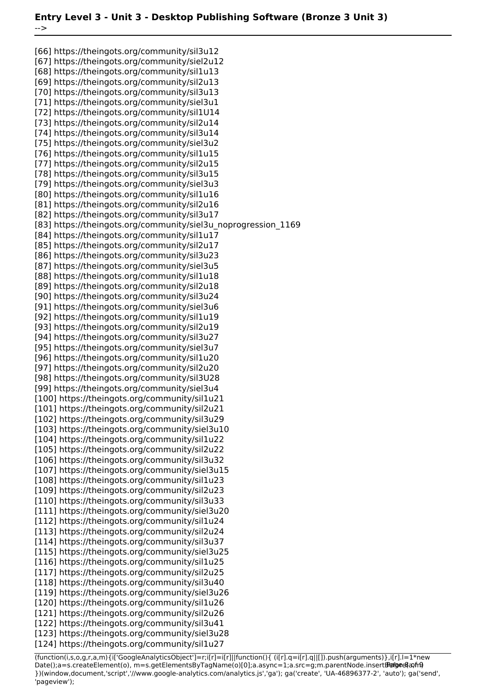[66] https://theingots.org/community/sil3u12 [67] https://theingots.org/community/siel2u12 [68] https://theingots.org/community/sil1u13 [69] https://theingots.org/community/sil2u13 [70] https://theingots.org/community/sil3u13 [71] https://theingots.org/community/siel3u1 [72] https://theingots.org/community/sil1U14 [73] https://theingots.org/community/sil2u14 [74] https://theingots.org/community/sil3u14 [75] https://theingots.org/community/siel3u2 [76] https://theingots.org/community/sil1u15 [77] https://theingots.org/community/sil2u15 [78] https://theingots.org/community/sil3u15 [79] https://theingots.org/community/siel3u3 [80] https://theingots.org/community/sil1u16 [81] https://theingots.org/community/sil2u16 [82] https://theingots.org/community/sil3u17 [83] https://theingots.org/community/siel3u\_noprogression\_1169 [84] https://theingots.org/community/sil1u17 [85] https://theingots.org/community/sil2u17 [86] https://theingots.org/community/sil3u23 [87] https://theingots.org/community/siel3u5 [88] https://theingots.org/community/sil1u18 [89] https://theingots.org/community/sil2u18 [90] https://theingots.org/community/sil3u24 [91] https://theingots.org/community/siel3u6 [92] https://theingots.org/community/sil1u19 [93] https://theingots.org/community/sil2u19 [94] https://theingots.org/community/sil3u27 [95] https://theingots.org/community/siel3u7 [96] https://theingots.org/community/sil1u20 [97] https://theingots.org/community/sil2u20 [98] https://theingots.org/community/sil3U28 [99] https://theingots.org/community/siel3u4 [100] https://theingots.org/community/sil1u21 [101] https://theingots.org/community/sil2u21 [102] https://theingots.org/community/sil3u29 [103] https://theingots.org/community/siel3u10 [104] https://theingots.org/community/sil1u22 [105] https://theingots.org/community/sil2u22 [106] https://theingots.org/community/sil3u32 [107] https://theingots.org/community/siel3u15 [108] https://theingots.org/community/sil1u23 [109] https://theingots.org/community/sil2u23 [110] https://theingots.org/community/sil3u33 [111] https://theingots.org/community/siel3u20 [112] https://theingots.org/community/sil1u24 [113] https://theingots.org/community/sil2u24 [114] https://theingots.org/community/sil3u37 [115] https://theingots.org/community/siel3u25 [116] https://theingots.org/community/sil1u25 [117] https://theingots.org/community/sil2u25 [118] https://theingots.org/community/sil3u40 [119] https://theingots.org/community/siel3u26 [120] https://theingots.org/community/sil1u26 [121] https://theingots.org/community/sil2u26 [122] https://theingots.org/community/sil3u41 [123] https://theingots.org/community/siel3u28 [124] https://theingots.org/community/sil1u27

(function(i,s,o,g,r,a,m){i['GoogleAnalyticsObject']=r;i[r]=i[r]||function(){ (i[r].q=i[r].q||[]).push(arguments)},i[r].l=1\*new Date();a=s.createElement(o), m=s.getElementsByTagName(o)[0];a.async=1;a.src=g;m.parentNode.insertBefore&aภfr9 })(window,document,'script','//www.google-analytics.com/analytics.js','ga'); ga('create', 'UA-46896377-2', 'auto'); ga('send', 'pageview');